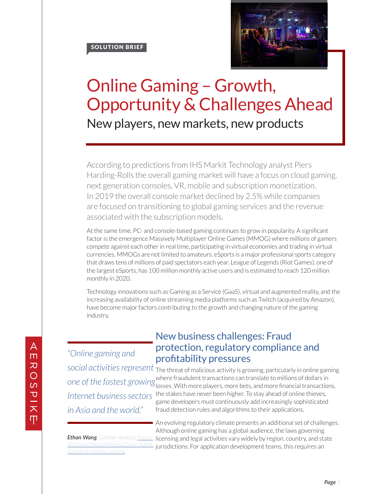SOLUTION BRIEF



## Online Gaming – Growth, Opportunity & Challenges Ahead New players, new markets, new products

According to predictions from IHS Markit Technology analyst Piers Harding-Rolls the overall gaming market will have a focus on cloud gaming, next generation consoles, VR, mobile and subscription monetization. In 2019 the overall console market declined by 2.5% while companies are focused on transitioning to global gaming services and the revenue associated with the subscription models.

At the same time, PC- and console-based gaming continues to grow in popularity. A significant factor is the emergence Massively Multiplayer Online Games (MMOG) where millions of gamers compete against each other in real time, participating in virtual economies and trading in virtual currencies. MMOGs are not limited to amateurs. eSports is a major professional sports category that draws tens of millions of paid spectators each year. League of Legends (Riot Games), one of the largest eSports, has 100 million monthly active users and is estimated to reach 120 million monthly in 2020.

Technology innovations such as Gaming as a Service (GaaS), virtual and augmented reality, and the increasing availability of online streaming media platforms such as Twitch (acquired by Amazon), have become major factors contributing to the growth and changing nature of the gaming industry.

*"Online gaming and social activities represent Internet business sectors in Asia and the world."*

## New business challenges: Fraud protection, regulatory compliance and profitability pressures

The threat of malicious activity is growing, particularly in online gaming where fraudulent transactions can translate to millions of dollars in one of the fastest growing where a addition to ansactions can translate to millions of dollars in Contrastions, the stakes have never been higher. To stay ahead of online thieves, game developers must continuously add increasingly sophisticated fraud detection rules and algorithms to their applications.

*of Money: Virtual Money Drives Rapid Growth in Online Gaming*

An evolving regulatory climate presents an additional set of challenges. Although online gaming has a global audience, the laws governing Ethan Wang, Gartner Analyst; <u>Future licensing</u> and legal activities vary widely by region, country, and state jurisdictions. For application development teams, this requires an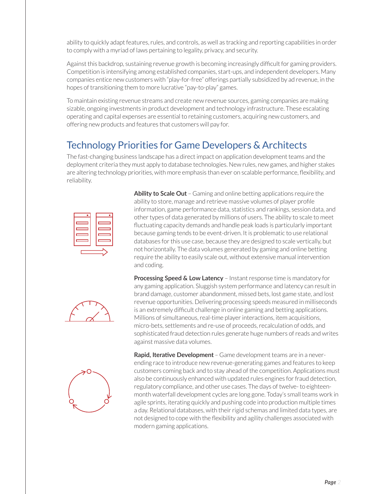ability to quickly adapt features, rules, and controls, as well as tracking and reporting capabilities in order to comply with a myriad of laws pertaining to legality, privacy, and security.

Against this backdrop, sustaining revenue growth is becoming increasingly difficult for gaming providers. Competition is intensifying among established companies, start-ups, and independent developers. Many companies entice new customers with "play-for-free" offerings partially subsidized by ad revenue, in the hopes of transitioning them to more lucrative "pay-to-play" games.

To maintain existing revenue streams and create new revenue sources, gaming companies are making sizable, ongoing investments in product development and technology infrastructure. These escalating operating and capital expenses are essential to retaining customers, acquiring new customers, and offering new products and features that customers will pay for.

## Technology Priorities for Game Developers & Architects

The fast-changing business landscape has a direct impact on application development teams and the deployment criteria they must apply to database technologies. New rules, new games, and higher stakes are altering technology priorities, with more emphasis than ever on scalable performance, flexibility, and reliability.



**Ability to Scale Out** – Gaming and online betting applications require the ability to store, manage and retrieve massive volumes of player profile information, game performance data, statistics and rankings, session data, and other types of data generated by millions of users. The ability to scale to meet fluctuating capacity demands and handle peak loads is particularly important because gaming tends to be event-driven. It is problematic to use relational databases for this use case, because they are designed to scale vertically, but not horizontally. The data volumes generated by gaming and online betting require the ability to easily scale out, without extensive manual intervention and coding.





**Processing Speed & Low Latency** – Instant response time is mandatory for any gaming application. Sluggish system performance and latency can result in brand damage, customer abandonment, missed bets, lost game state, and lost revenue opportunities. Delivering processing speeds measured in milliseconds is an extremely difficult challenge in online gaming and betting applications. Millions of simultaneous, real-time player interactions, item acquisitions, micro-bets, settlements and re-use of proceeds, recalculation of odds, and sophisticated fraud detection rules generate huge numbers of reads and writes against massive data volumes.

**Rapid, Iterative Development** – Game development teams are in a neverending race to introduce new revenue-generating games and features to keep customers coming back and to stay ahead of the competition. Applications must also be continuously enhanced with updated rules engines for fraud detection, regulatory compliance, and other use cases. The days of twelve- to eighteenmonth waterfall development cycles are long gone. Today's small teams work in agile sprints, iterating quickly and pushing code into production multiple times a day. Relational databases, with their rigid schemas and limited data types, are not designed to cope with the flexibility and agility challenges associated with modern gaming applications.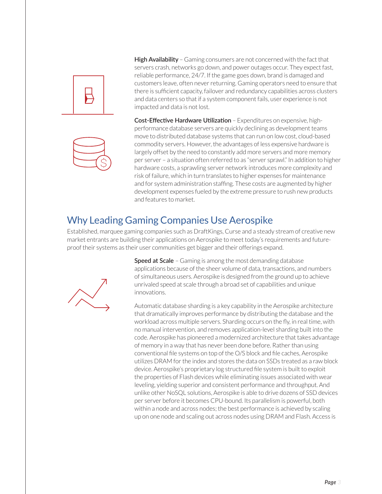



**High Availability** – Gaming consumers are not concerned with the fact that servers crash, networks go down, and power outages occur. They expect fast, reliable performance, 24/7. If the game goes down, brand is damaged and customers leave, often never returning. Gaming operators need to ensure that there is sufficient capacity, failover and redundancy capabilities across clusters and data centers so that if a system component fails, user experience is not impacted and data is not lost.

**Cost-Effective Hardware Utilization** – Expenditures on expensive, highperformance database servers are quickly declining as development teams move to distributed database systems that can run on low cost, cloud-based commodity servers. However, the advantages of less expensive hardware is largely offset by the need to constantly add more servers and more memory per server – a situation often referred to as "server sprawl." In addition to higher hardware costs, a sprawling server network introduces more complexity and risk of failure, which in turn translates to higher expenses for maintenance and for system administration staffing. These costs are augmented by higher development expenses fueled by the extreme pressure to rush new products and features to market.

## Why Leading Gaming Companies Use Aerospike

Established, marquee gaming companies such as DraftKings, Curse and a steady stream of creative new market entrants are building their applications on Aerospike to meet today's requirements and futureproof their systems as their user communities get bigger and their offerings expand.



**Speed at Scale** – Gaming is among the most demanding database applications because of the sheer volume of data, transactions, and numbers of simultaneous users. Aerospike is designed from the ground up to achieve unrivaled speed at scale through a broad set of capabilities and unique innovations.

Automatic database sharding is a key capability in the Aerospike architecture that dramatically improves performance by distributing the database and the workload across multiple servers. Sharding occurs on the fly, in real time, with no manual intervention, and removes application-level sharding built into the code. Aerospike has pioneered a modernized architecture that takes advantage of memory in a way that has never been done before. Rather than using conventional file systems on top of the O/S block and file caches, Aerospike utilizes DRAM for the index and stores the data on SSDs treated as a raw block device. Aerospike's proprietary log structured file system is built to exploit the properties of Flash devices while eliminating issues associated with wear leveling, yielding superior and consistent performance and throughput. And unlike other NoSQL solutions, Aerospike is able to drive dozens of SSD devices per server before it becomes CPU-bound. Its parallelism is powerful, both within a node and across nodes; the best performance is achieved by scaling up on one node and scaling out across nodes using DRAM and Flash. Access is